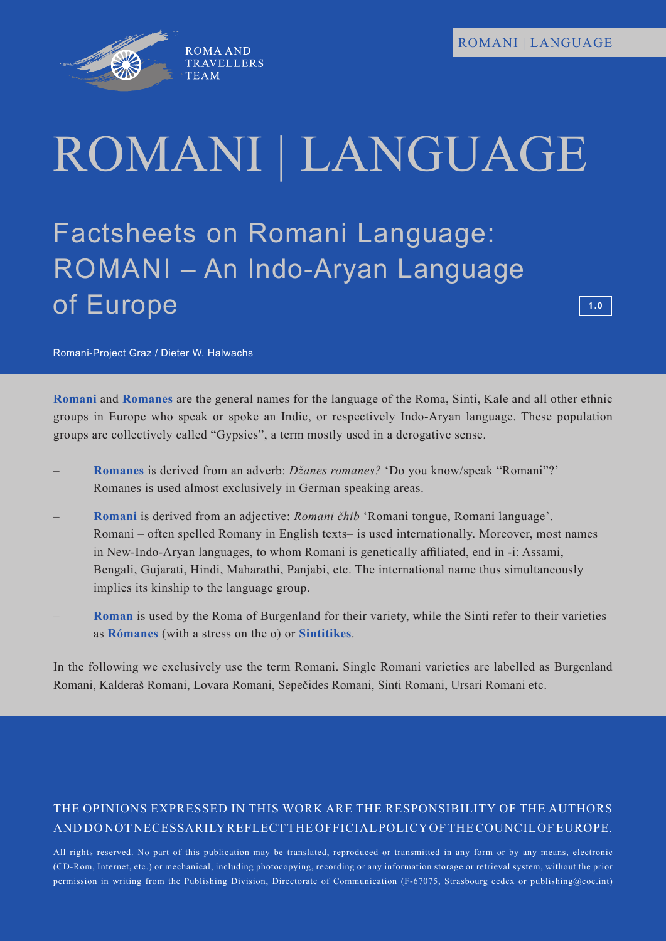

# ROMANI | LANGUAGE

Factsheets on Romani Language: ROMANI – An Indo-Aryan Language of Europe

**1.0**

Romani-Project Graz / Dieter W. Halwachs

**Romani** and **Romanes** are the general names for the language of the Roma, Sinti, Kale and all other ethnic groups in Europe who speak or spoke an Indic, or respectively Indo-Aryan language. These population groups are collectively called "Gypsies", a term mostly used in a derogative sense.

- **Romanes** is derived from an adverb: *Džanes romanes?* 'Do you know/speak "Romani"?' Romanes is used almost exclusively in German speaking areas.
- **Romani** is derived from an adjective: *Romani čhib* 'Romani tongue, Romani language'. Romani – often spelled Romany in English texts– is used internationally. Moreover, most names in New-Indo-Aryan languages, to whom Romani is genetically affiliated, end in -i: Assami, Bengali, Gujarati, Hindi, Maharathi, Panjabi, etc. The international name thus simultaneously implies its kinship to the language group.
- **Roman** is used by the Roma of Burgenland for their variety, while the Sinti refer to their varieties as **Rómanes** (with a stress on the o) or **Sintitikes**.

In the following we exclusively use the term Romani. Single Romani varieties are labelled as Burgenland Romani, Kalderaš Romani, Lovara Romani, Sepečides Romani, Sinti Romani, Ursari Romani etc.

## THE OPINIONS EXPRESSED IN THIS WORK ARE THE RESPONSIBILITY OF THE AUTHORS AND DO NOT NECESSARILY REFLECT THE OFFICIAL POLICY OF THE COUNCIL OF EUROPE.

All rights reserved. No part of this publication may be translated, reproduced or transmitted in any form or by any means, electronic (CD-Rom, Internet, etc.) or mechanical, including photocopying, recording or any information storage or retrieval system, without the prior permission in writing from the Publishing Division, Directorate of Communication (F-67075, Strasbourg cedex or publishing@coe.int)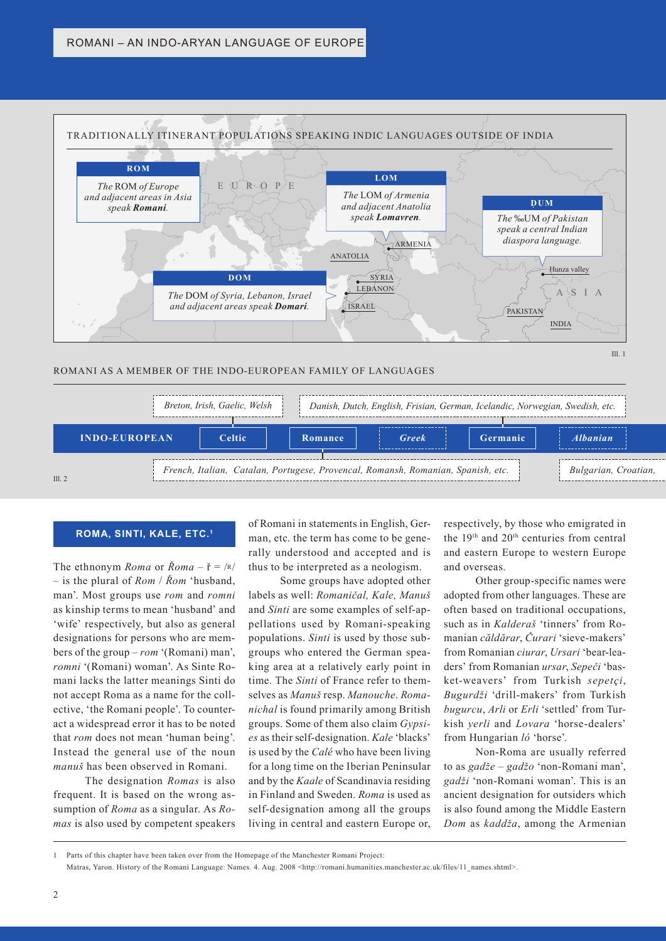

#### ROMANI AS A MEMBER OF THE INDO-EUROPEAN FAMILY OF LANGUAGES





#### **ROMA, SINTI, KALE, ETC.1**

The ethnonym *Roma* or  $\bar{R}$ *oma* –  $\check{r} = |\kappa|$ – is the plural of *Rom* / *Řom* 'husband, man'. Most groups use *rom* and *romni* as kinship terms to mean 'husband' and 'wife' respectively, but also as general designations for persons who are members of the group – *rom* '(Romani) man', *romni* '(Romani) woman'. As Sinte Romani lacks the latter meanings Sinti do not accept Roma as a name for the collective, 'the Romani people'. To counteract a widespread error it has to be noted that *rom* does not mean 'human being'. Instead the general use of the noun *manuš* has been observed in Romani.

The designation *Romas* is also frequent. It is based on the wrong assumption of *Roma* as a singular. As *Romas* is also used by competent speakers

of Romani in statements in English, German, etc. the term has come to be generally understood and accepted and is thus to be interpreted as a neologism.

Some groups have adopted other labels as well: *Romaničal, Kale, Manuš* and *Sinti* are some examples of self-appellations used by Romani-speaking populations. *Sinti* is used by those subgroups who entered the German speaking area at a relatively early point in time. The *Sinti* of France refer to themselves as *Manuš* resp. *Manouche*. *Romanichal* is found primarily among British groups. Some of them also claim *Gypsies* as their self-designation. *Kale* 'blacks' is used by the *Calé* who have been living for a long time on the Iberian Peninsular and by the *Kaale* of Scandinavia residing in Finland and Sweden. *Roma* is used as self-designation among all the groups living in central and eastern Europe or,

respectively, by those who emigrated in the 19th and 20th centuries from central and eastern Europe to western Europe and overseas.

Other group-specific names were adopted from other languages. These are often based on traditional occupations, such as in *Kalderaš* 'tinners' from Romanian *căldărar*, *Čurari* 'sieve-makers' from Romanian *ciurar*, *Ursari* 'bear-leaders' from Romanian *ursar*, *Sepeči* 'basket-weavers' from Turkish *sepetçi*, *Bugurdži* 'drill-makers' from Turkish *bugurcu*, *Arli* or *Erli* 'settled' from Turkish *yerli* and *Lovara* 'horse-dealers' from Hungarian *ló* 'horse'.

Non-Roma are usually referred to as *gadže* – *gadžo* 'non-Romani man', *gadži* 'non-Romani woman'. This is an ancient designation for outsiders which is also found among the Middle Eastern *Dom* as *kaddža*, among the Armenian

<sup>1</sup> Parts of this chapter have been taken over from the Homepage of the Manchester Romani Project:

Matras, Yaron. History of the Romani Language: Names. 4. Aug. 2008 <http://romani.humanities.manchester.ac.uk/files/11\_names.shtml>.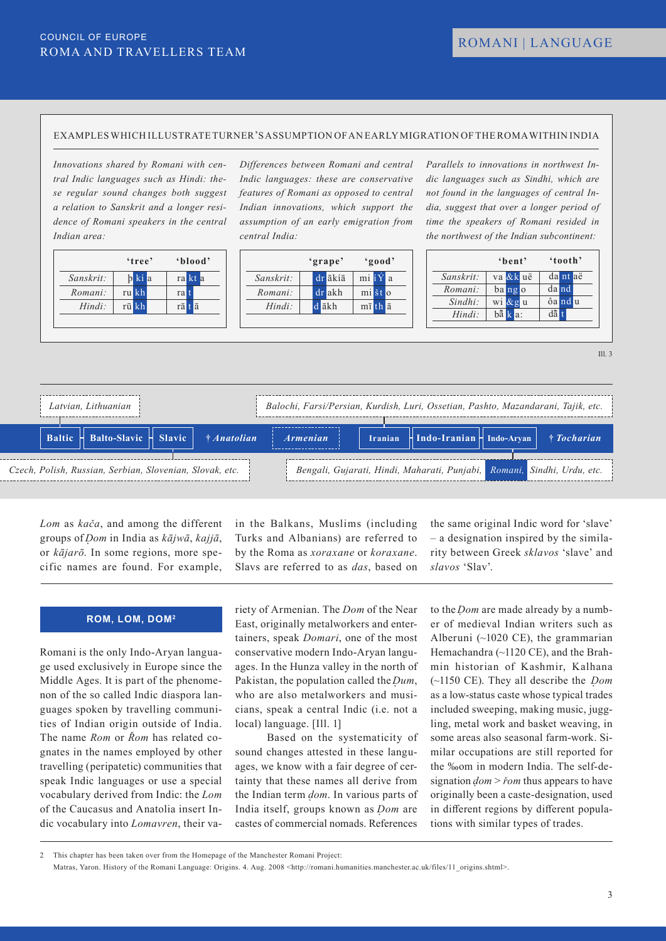#### EXAMPLES WHICH ILLUSTRATE TURNER'S ASSUMPTION OF AN EARLY MIGRATION OF THE ROMA WITHIN INDIA

*Innovations shared by Romani with central Indic languages such as Hindi: these regular sound changes both suggest a relation to Sanskrit and a longer residence of Romani speakers in the central Indian area:*

|           | 'tree' | 'blood' |
|-----------|--------|---------|
| Sanskrit: | b kí a | ra kt a |
| Romani:   | ru kh  | ral     |
| $Hindi$ : | rū kh  | rā tā   |

*Differences between Romani and central Indic languages: these are conservative features of Romani as opposed to central Indian innovations, which support the assumption of an early emigration from central India:*



*Parallels to innovations in northwest Indic languages such as Sindhi, which are not found in the languages of central India, suggest that over a longer period of time the speakers of Romani resided in the northwest of the Indian subcontinent:*

|            | 'bent'               | 'tooth'      |
|------------|----------------------|--------------|
| Sanskrit:  | va &k uë             | da nt aë     |
| Romani:    | bango                | da nd        |
| $Sindhi$ : | wi &gu               | ôa nd u      |
| $Hindi$ :  | $b\overline{a}$ k a: | $d\tilde{a}$ |

 $III.3$ 

| Latvian, Lithuanian                                      | Balochi, Farsi/Persian, Kurdish, Luri, Ossetian, Pashto, Mazandarani, Tajik, etc.                            |
|----------------------------------------------------------|--------------------------------------------------------------------------------------------------------------|
| Baltic H Balto-Slavic H Slavic<br>$\uparrow$ Anatolian   | $\lceil$ Iranian $\lceil$ Indo-Iranian $\lceil$ Indo-Aryan $\lceil$<br>† Tocharian<br><i><b>Armenian</b></i> |
| Czech, Polish, Russian, Serbian, Slovenian, Slovak, etc. | Bengali, Gujarati, Hindi, Maharati, Punjabi, Romani, Sindhi, Urdu, etc.                                      |

*Lom* as *kača*, and among the different groups of *D*. *om* in India as *kājwā*, *kajjā*, or *kājarō*. In some regions, more specific names are found. For example,

in the Balkans, Muslims (including Turks and Albanians) are referred to by the Roma as *xoraxane* or *koraxane*. Slavs are referred to as *das*, based on

**ROM, LOM, DOM2**

Romani is the only Indo-Aryan language used exclusively in Europe since the Middle Ages. It is part of the phenomenon of the so called Indic diaspora languages spoken by travelling communities of Indian origin outside of India. The name *Rom* or *Řom* has related cognates in the names employed by other travelling (peripatetic) communities that speak Indic languages or use a special vocabulary derived from Indic: the *Lom* of the Caucasus and Anatolia insert Indic vocabulary into *Lomavren*, their variety of Armenian. The *Dom* of the Near East, originally metalworkers and entertainers, speak *Domari*, one of the most conservative modern Indo-Aryan languages. In the Hunza valley in the north of Pakistan, the population called the *Dum*, who are also metalworkers and musicians, speak a central Indic (i.e. not a local) language. [Ill. 1]

Based on the systematicity of sound changes attested in these languages, we know with a fair degree of certainty that these names all derive from the Indian term *dom*. In various parts of India itself, groups known as *Dom* are castes of commercial nomads. References

the same original Indic word for 'slave' – a designation inspired by the similarity between Greek *sklavos* 'slave' and *slavos* 'Slav'.

to the *Dom* are made already by a number of medieval Indian writers such as Alberuni (~1020 CE), the grammarian Hemachandra (~1120 CE), and the Brahmin historian of Kashmir, Kalhana (~1150 CE). They all describe the *Dom* as a low-status caste whose typical trades included sweeping, making music, juggling, metal work and basket weaving, in some areas also seasonal farm-work. Similar occupations are still reported for the ‰om in modern India. The self-designation  $dom \geq \check{r}om$  thus appears to have originally been a caste-designation, used in different regions by different populations with similar types of trades.

<sup>2</sup> This chapter has been taken over from the Homepage of the Manchester Romani Project:

Matras, Yaron. History of the Romani Language: Origins. 4. Aug. 2008 <http://romani.humanities.manchester.ac.uk/files/11\_origins.shtml>.